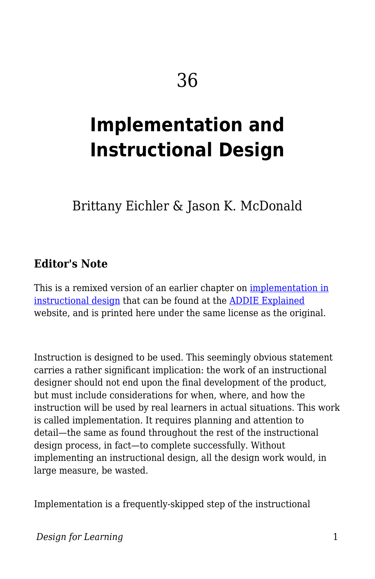# **Implementation and Instructional Design**

Brittany Eichler & Jason K. McDonald

#### **Editor's Note**

This is a remixed version of an earlier chapter on <u>implementation in</u> [instructional design](http://www.aritzhaupt.com/addie_explained/implementation/) that can be found at the [ADDIE Explained](http://www.aritzhaupt.com/addie_explained/) website, and is printed here under the same license as the original.

Instruction is designed to be used. This seemingly obvious statement carries a rather significant implication: the work of an instructional designer should not end upon the final development of the product, but must include considerations for when, where, and how the instruction will be used by real learners in actual situations. This work is called implementation. It requires planning and attention to detail—the same as found throughout the rest of the instructional design process, in fact—to complete successfully. Without implementing an instructional design, all the design work would, in large measure, be wasted.

Implementation is a frequently-skipped step of the instructional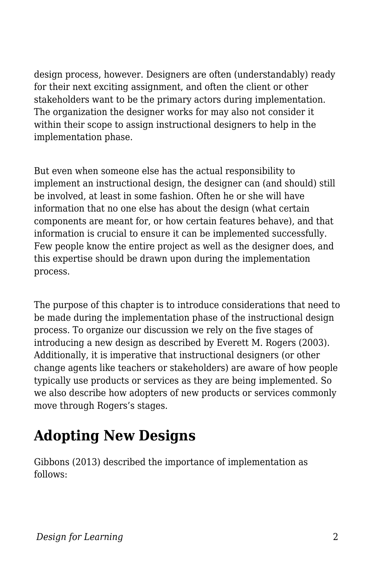design process, however. Designers are often (understandably) ready for their next exciting assignment, and often the client or other stakeholders want to be the primary actors during implementation. The organization the designer works for may also not consider it within their scope to assign instructional designers to help in the implementation phase.

But even when someone else has the actual responsibility to implement an instructional design, the designer can (and should) still be involved, at least in some fashion. Often he or she will have information that no one else has about the design (what certain components are meant for, or how certain features behave), and that information is crucial to ensure it can be implemented successfully. Few people know the entire project as well as the designer does, and this expertise should be drawn upon during the implementation process.

The purpose of this chapter is to introduce considerations that need to be made during the implementation phase of the instructional design process. To organize our discussion we rely on the five stages of introducing a new design as described by Everett M. Rogers (2003). Additionally, it is imperative that instructional designers (or other change agents like teachers or stakeholders) are aware of how people typically use products or services as they are being implemented. So we also describe how adopters of new products or services commonly move through Rogers's stages.

# **Adopting New Designs**

Gibbons (2013) described the importance of implementation as follows: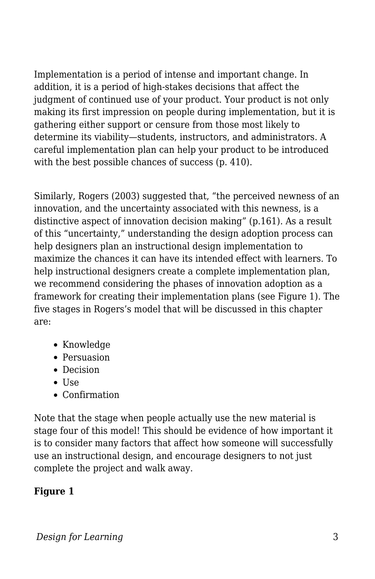Implementation is a period of intense and important change. In addition, it is a period of high-stakes decisions that affect the judgment of continued use of your product. Your product is not only making its first impression on people during implementation, but it is gathering either support or censure from those most likely to determine its viability—students, instructors, and administrators. A careful implementation plan can help your product to be introduced with the best possible chances of success (p. 410).

Similarly, Rogers (2003) suggested that, "the perceived newness of an innovation, and the uncertainty associated with this newness, is a distinctive aspect of innovation decision making" (p.161). As a result of this "uncertainty," understanding the design adoption process can help designers plan an instructional design implementation to maximize the chances it can have its intended effect with learners. To help instructional designers create a complete implementation plan, we recommend considering the phases of innovation adoption as a framework for creating their implementation plans (see Figure 1). The five stages in Rogers's model that will be discussed in this chapter are:

- Knowledge
- Persuasion
- Decision
- Use
- Confirmation

Note that the stage when people actually use the new material is stage four of this model! This should be evidence of how important it is to consider many factors that affect how someone will successfully use an instructional design, and encourage designers to not just complete the project and walk away.

### **Figure 1**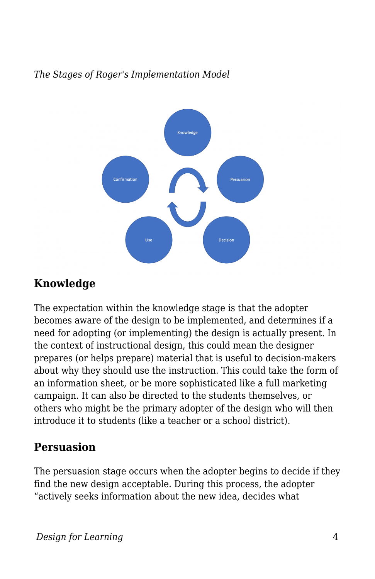*The Stages of Roger's Implementation Model*



### **Knowledge**

The expectation within the knowledge stage is that the adopter becomes aware of the design to be implemented, and determines if a need for adopting (or implementing) the design is actually present. In the context of instructional design, this could mean the designer prepares (or helps prepare) material that is useful to decision-makers about why they should use the instruction. This could take the form of an information sheet, or be more sophisticated like a full marketing campaign. It can also be directed to the students themselves, or others who might be the primary adopter of the design who will then introduce it to students (like a teacher or a school district).

### **Persuasion**

The persuasion stage occurs when the adopter begins to decide if they find the new design acceptable. During this process, the adopter "actively seeks information about the new idea, decides what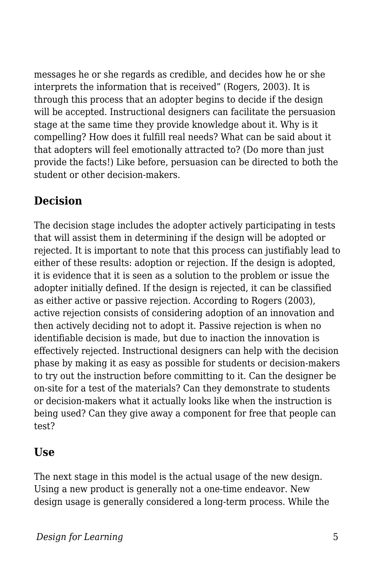messages he or she regards as credible, and decides how he or she interprets the information that is received" (Rogers, 2003). It is through this process that an adopter begins to decide if the design will be accepted. Instructional designers can facilitate the persuasion stage at the same time they provide knowledge about it. Why is it compelling? How does it fulfill real needs? What can be said about it that adopters will feel emotionally attracted to? (Do more than just provide the facts!) Like before, persuasion can be directed to both the student or other decision-makers.

### **Decision**

The decision stage includes the adopter actively participating in tests that will assist them in determining if the design will be adopted or rejected. It is important to note that this process can justifiably lead to either of these results: adoption or rejection. If the design is adopted, it is evidence that it is seen as a solution to the problem or issue the adopter initially defined. If the design is rejected, it can be classified as either active or passive rejection. According to Rogers (2003), active rejection consists of considering adoption of an innovation and then actively deciding not to adopt it. Passive rejection is when no identifiable decision is made, but due to inaction the innovation is effectively rejected. Instructional designers can help with the decision phase by making it as easy as possible for students or decision-makers to try out the instruction before committing to it. Can the designer be on-site for a test of the materials? Can they demonstrate to students or decision-makers what it actually looks like when the instruction is being used? Can they give away a component for free that people can test?

### **Use**

The next stage in this model is the actual usage of the new design. Using a new product is generally not a one-time endeavor. New design usage is generally considered a long-term process. While the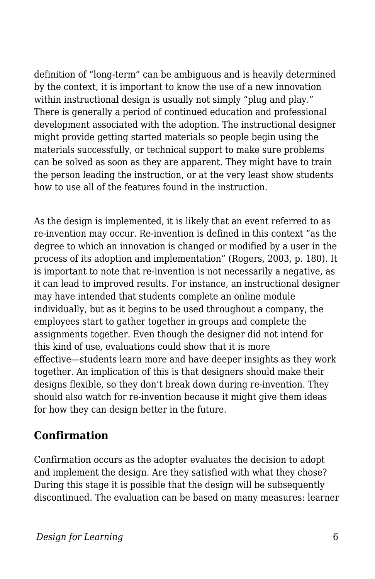definition of "long-term" can be ambiguous and is heavily determined by the context, it is important to know the use of a new innovation within instructional design is usually not simply "plug and play." There is generally a period of continued education and professional development associated with the adoption. The instructional designer might provide getting started materials so people begin using the materials successfully, or technical support to make sure problems can be solved as soon as they are apparent. They might have to train the person leading the instruction, or at the very least show students how to use all of the features found in the instruction.

As the design is implemented, it is likely that an event referred to as re-invention may occur. Re-invention is defined in this context "as the degree to which an innovation is changed or modified by a user in the process of its adoption and implementation" (Rogers, 2003, p. 180). It is important to note that re-invention is not necessarily a negative, as it can lead to improved results. For instance, an instructional designer may have intended that students complete an online module individually, but as it begins to be used throughout a company, the employees start to gather together in groups and complete the assignments together. Even though the designer did not intend for this kind of use, evaluations could show that it is more effective—students learn more and have deeper insights as they work together. An implication of this is that designers should make their designs flexible, so they don't break down during re-invention. They should also watch for re-invention because it might give them ideas for how they can design better in the future.

### **Confirmation**

Confirmation occurs as the adopter evaluates the decision to adopt and implement the design. Are they satisfied with what they chose? During this stage it is possible that the design will be subsequently discontinued. The evaluation can be based on many measures: learner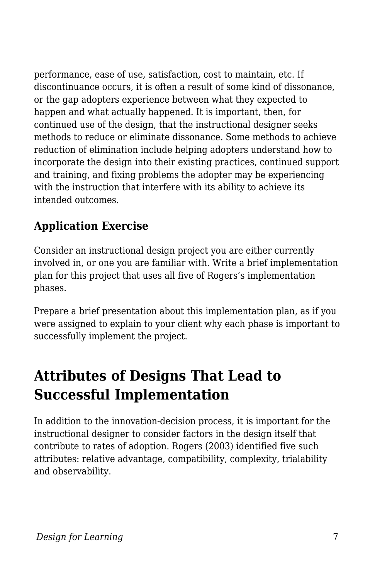performance, ease of use, satisfaction, cost to maintain, etc. If discontinuance occurs, it is often a result of some kind of dissonance, or the gap adopters experience between what they expected to happen and what actually happened. It is important, then, for continued use of the design, that the instructional designer seeks methods to reduce or eliminate dissonance. Some methods to achieve reduction of elimination include helping adopters understand how to incorporate the design into their existing practices, continued support and training, and fixing problems the adopter may be experiencing with the instruction that interfere with its ability to achieve its intended outcomes.

# **Application Exercise**

Consider an instructional design project you are either currently involved in, or one you are familiar with. Write a brief implementation plan for this project that uses all five of Rogers's implementation phases.

Prepare a brief presentation about this implementation plan, as if you were assigned to explain to your client why each phase is important to successfully implement the project.

# **Attributes of Designs That Lead to Successful Implementation**

In addition to the innovation-decision process, it is important for the instructional designer to consider factors in the design itself that contribute to rates of adoption. Rogers (2003) identified five such attributes: relative advantage, compatibility, complexity, trialability and observability.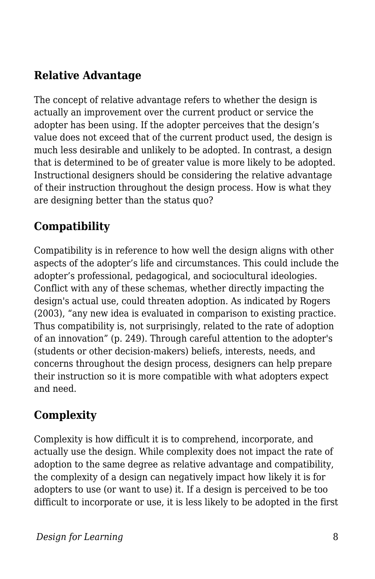### **Relative Advantage**

The concept of relative advantage refers to whether the design is actually an improvement over the current product or service the adopter has been using. If the adopter perceives that the design's value does not exceed that of the current product used, the design is much less desirable and unlikely to be adopted. In contrast, a design that is determined to be of greater value is more likely to be adopted. Instructional designers should be considering the relative advantage of their instruction throughout the design process. How is what they are designing better than the status quo?

### **Compatibility**

Compatibility is in reference to how well the design aligns with other aspects of the adopter's life and circumstances. This could include the adopter's professional, pedagogical, and sociocultural ideologies. Conflict with any of these schemas, whether directly impacting the design's actual use, could threaten adoption. As indicated by Rogers (2003), "any new idea is evaluated in comparison to existing practice. Thus compatibility is, not surprisingly, related to the rate of adoption of an innovation" (p. 249). Through careful attention to the adopter's (students or other decision-makers) beliefs, interests, needs, and concerns throughout the design process, designers can help prepare their instruction so it is more compatible with what adopters expect and need.

### **Complexity**

Complexity is how difficult it is to comprehend, incorporate, and actually use the design. While complexity does not impact the rate of adoption to the same degree as relative advantage and compatibility, the complexity of a design can negatively impact how likely it is for adopters to use (or want to use) it. If a design is perceived to be too difficult to incorporate or use, it is less likely to be adopted in the first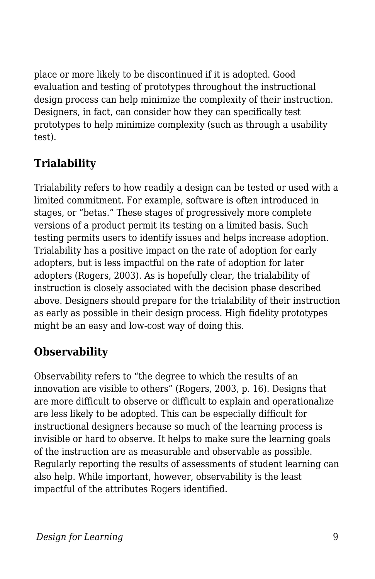place or more likely to be discontinued if it is adopted. Good evaluation and testing of prototypes throughout the instructional design process can help minimize the complexity of their instruction. Designers, in fact, can consider how they can specifically test prototypes to help minimize complexity (such as through a usability test).

## **Trialability**

Trialability refers to how readily a design can be tested or used with a limited commitment. For example, software is often introduced in stages, or "betas." These stages of progressively more complete versions of a product permit its testing on a limited basis. Such testing permits users to identify issues and helps increase adoption. Trialability has a positive impact on the rate of adoption for early adopters, but is less impactful on the rate of adoption for later adopters (Rogers, 2003). As is hopefully clear, the trialability of instruction is closely associated with the decision phase described above. Designers should prepare for the trialability of their instruction as early as possible in their design process. High fidelity prototypes might be an easy and low-cost way of doing this.

## **Observability**

Observability refers to "the degree to which the results of an innovation are visible to others" (Rogers, 2003, p. 16). Designs that are more difficult to observe or difficult to explain and operationalize are less likely to be adopted. This can be especially difficult for instructional designers because so much of the learning process is invisible or hard to observe. It helps to make sure the learning goals of the instruction are as measurable and observable as possible. Regularly reporting the results of assessments of student learning can also help. While important, however, observability is the least impactful of the attributes Rogers identified.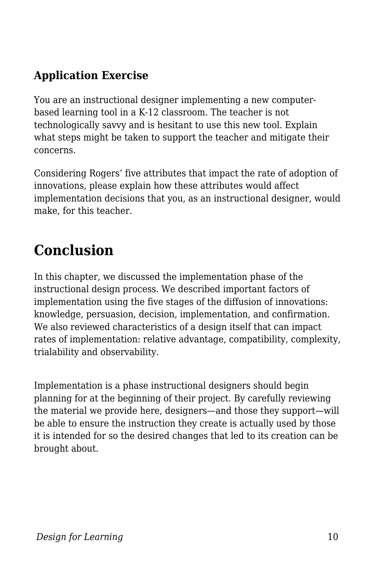### **Application Exercise**

You are an instructional designer implementing a new computerbased learning tool in a K-12 classroom. The teacher is not technologically savvy and is hesitant to use this new tool. Explain what steps might be taken to support the teacher and mitigate their concerns.

Considering Rogers' five attributes that impact the rate of adoption of innovations, please explain how these attributes would affect implementation decisions that you, as an instructional designer, would make, for this teacher.

# **Conclusion**

In this chapter, we discussed the implementation phase of the instructional design process. We described important factors of implementation using the five stages of the diffusion of innovations: knowledge, persuasion, decision, implementation, and confirmation. We also reviewed characteristics of a design itself that can impact rates of implementation: relative advantage, compatibility, complexity, trialability and observability.

Implementation is a phase instructional designers should begin planning for at the beginning of their project. By carefully reviewing the material we provide here, designers—and those they support—will be able to ensure the instruction they create is actually used by those it is intended for so the desired changes that led to its creation can be brought about.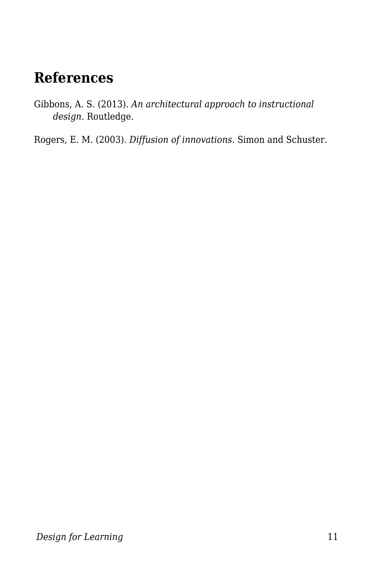# **References**

Gibbons, A. S. (2013). *An architectural approach to instructional design*. Routledge.

Rogers, E. M. (2003). *Diffusion of innovations*. Simon and Schuster.